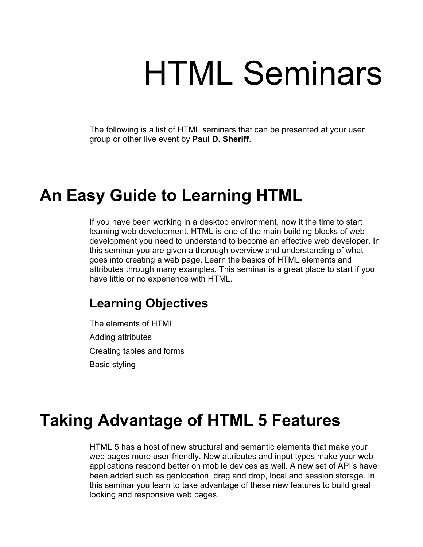# HTML Seminars

The following is a list of HTML seminars that can be presented at your user group or other live event by **Paul D. Sheriff**.

## **An Easy Guide to Learning HTML**

If you have been working in a desktop environment, now it the time to start learning web development. HTML is one of the main building blocks of web development you need to understand to become an effective web developer. In this seminar you are given a thorough overview and understanding of what goes into creating a web page. Learn the basics of HTML elements and attributes through many examples. This seminar is a great place to start if you have little or no experience with HTML.

#### **Learning Objectives**

The elements of HTML Adding attributes Creating tables and forms Basic styling

## **Taking Advantage of HTML 5 Features**

HTML 5 has a host of new structural and semantic elements that make your web pages more user-friendly. New attributes and input types make your web applications respond better on mobile devices as well. A new set of API's have been added such as geolocation, drag and drop, local and session storage. In this seminar you learn to take advantage of these new features to build great looking and responsive web pages.